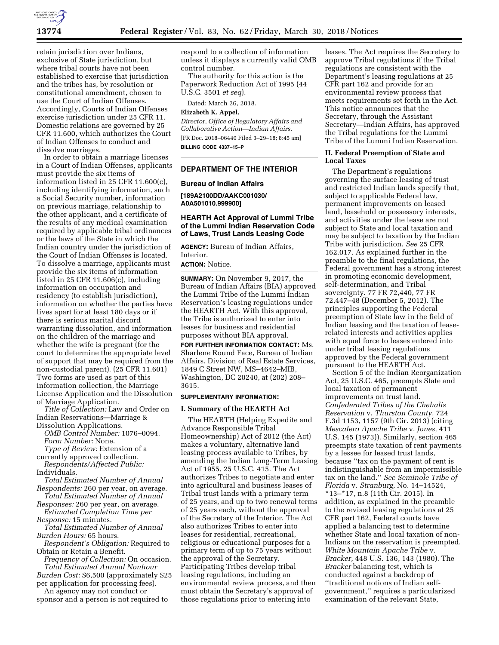

retain jurisdiction over Indians, exclusive of State jurisdiction, but where tribal courts have not been established to exercise that jurisdiction and the tribes has, by resolution or constitutional amendment, chosen to use the Court of Indian Offenses. Accordingly, Courts of Indian Offenses exercise jurisdiction under 25 CFR 11. Domestic relations are governed by 25 CFR 11.600, which authorizes the Court of Indian Offenses to conduct and dissolve marriages.

In order to obtain a marriage licenses in a Court of Indian Offenses, applicants must provide the six items of information listed in 25 CFR 11.600(c), including identifying information, such a Social Security number, information on previous marriage, relationship to the other applicant, and a certificate of the results of any medical examination required by applicable tribal ordinances or the laws of the State in which the Indian country under the jurisdiction of the Court of Indian Offenses is located. To dissolve a marriage, applicants must provide the six items of information listed in 25 CFR 11.606(c), including information on occupation and residency (to establish jurisdiction), information on whether the parties have lives apart for at least 180 days or if there is serious marital discord warranting dissolution, and information on the children of the marriage and whether the wife is pregnant (for the court to determine the appropriate level of support that may be required from the non-custodial parent). (25 CFR 11.601) Two forms are used as part of this information collection, the Marriage License Application and the Dissolution of Marriage Application.

*Title of Collection:* Law and Order on Indian Reservations—Marriage & Dissolution Applications.

*OMB Control Number:* 1076–0094. *Form Number:* None.

*Type of Review:* Extension of a currently approved collection.

*Respondents/Affected Public:*  Individuals.

*Total Estimated Number of Annual Respondents:* 260 per year, on average.

*Total Estimated Number of Annual Responses:* 260 per year, on average.

*Estimated Completion Time per Response:* 15 minutes.

*Total Estimated Number of Annual Burden Hours:* 65 hours.

*Respondent's Obligation:* Required to Obtain or Retain a Benefit.

*Frequency of Collection:* On occasion. *Total Estimated Annual Nonhour Burden Cost:* \$6,500 (approximately \$25

per application for processing fees). An agency may not conduct or

sponsor and a person is not required to

respond to a collection of information unless it displays a currently valid OMB control number.

The authority for this action is the Paperwork Reduction Act of 1995 (44 U.S.C. 3501 *et seq*).

Dated: March 26, 2018.

# **Elizabeth K. Appel,**

*Director, Office of Regulatory Affairs and Collaborative Action—Indian Affairs.*  [FR Doc. 2018–06440 Filed 3–29–18; 8:45 am] **BILLING CODE 4337–15–P** 

#### **DEPARTMENT OF THE INTERIOR**

#### **Bureau of Indian Affairs**

**[189A2100DD/AAKC001030/ A0A501010.999900]** 

## **HEARTH Act Approval of Lummi Tribe of the Lummi Indian Reservation Code of Laws, Trust Lands Leasing Code**

**AGENCY:** Bureau of Indian Affairs, Interior.

**ACTION:** Notice.

**SUMMARY:** On November 9, 2017, the Bureau of Indian Affairs (BIA) approved the Lummi Tribe of the Lummi Indian Reservation's leasing regulations under the HEARTH Act. With this approval, the Tribe is authorized to enter into leases for business and residential purposes without BIA approval.

**FOR FURTHER INFORMATION CONTACT:** Ms. Sharlene Round Face, Bureau of Indian Affairs, Division of Real Estate Services, 1849 C Street NW, MS–4642–MIB, Washington, DC 20240, at (202) 208– 3615.

## **SUPPLEMENTARY INFORMATION:**

#### **I. Summary of the HEARTH Act**

The HEARTH (Helping Expedite and Advance Responsible Tribal Homeownership) Act of 2012 (the Act) makes a voluntary, alternative land leasing process available to Tribes, by amending the Indian Long-Term Leasing Act of 1955, 25 U.S.C. 415. The Act authorizes Tribes to negotiate and enter into agricultural and business leases of Tribal trust lands with a primary term of 25 years, and up to two renewal terms of 25 years each, without the approval of the Secretary of the Interior. The Act also authorizes Tribes to enter into leases for residential, recreational, religious or educational purposes for a primary term of up to 75 years without the approval of the Secretary. Participating Tribes develop tribal leasing regulations, including an environmental review process, and then must obtain the Secretary's approval of those regulations prior to entering into

leases. The Act requires the Secretary to approve Tribal regulations if the Tribal regulations are consistent with the Department's leasing regulations at 25 CFR part 162 and provide for an environmental review process that meets requirements set forth in the Act. This notice announces that the Secretary, through the Assistant Secretary—Indian Affairs, has approved the Tribal regulations for the Lummi Tribe of the Lummi Indian Reservation.

## **II. Federal Preemption of State and Local Taxes**

The Department's regulations governing the surface leasing of trust and restricted Indian lands specify that, subject to applicable Federal law, permanent improvements on leased land, leasehold or possessory interests, and activities under the lease are not subject to State and local taxation and may be subject to taxation by the Indian Tribe with jurisdiction. *See* 25 CFR 162.017. As explained further in the preamble to the final regulations, the Federal government has a strong interest in promoting economic development, self-determination, and Tribal sovereignty. 77 FR 72,440, 77 FR 72,447–48 (December 5, 2012). The principles supporting the Federal preemption of State law in the field of Indian leasing and the taxation of leaserelated interests and activities applies with equal force to leases entered into under tribal leasing regulations approved by the Federal government pursuant to the HEARTH Act.

Section 5 of the Indian Reorganization Act, 25 U.S.C. 465, preempts State and local taxation of permanent improvements on trust land. *Confederated Tribes of the Chehalis Reservation* v. *Thurston County,* 724 F.3d 1153, 1157 (9th Cir. 2013) (citing *Mescalero Apache Tribe* v. *Jones,* 411 U.S. 145 (1973)). Similarly, section 465 preempts state taxation of rent payments by a lessee for leased trust lands, because ''tax on the payment of rent is indistinguishable from an impermissible tax on the land.'' *See Seminole Tribe of Florida* v. *Stranburg,* No. 14–14524, \*13–\*17, n.8 (11th Cir. 2015). In addition, as explained in the preamble to the revised leasing regulations at 25 CFR part 162, Federal courts have applied a balancing test to determine whether State and local taxation of non-Indians on the reservation is preempted. *White Mountain Apache Tribe* v. *Bracker,* 448 U.S. 136, 143 (1980). The *Bracker* balancing test, which is conducted against a backdrop of ''traditional notions of Indian selfgovernment,'' requires a particularized examination of the relevant State,